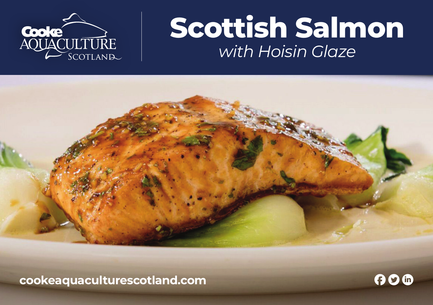

# **Scottish Salmon** *with Hoisin Glaze*



**cookeaquaculturescotland.com RTL COOKEAQUACULTURES COOKEAQUACULTURES COOKEAQUACULTURES**